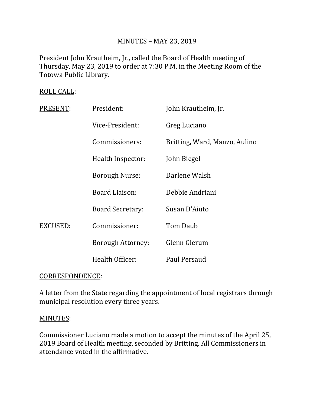# MINUTES – MAY 23, 2019

President John Krautheim, Jr., called the Board of Health meeting of Thursday, May 23, 2019 to order at 7:30 P.M. in the Meeting Room of the Totowa Public Library.

## ROLL CALL:

| PRESENT: | President:               | John Krautheim, Jr.           |
|----------|--------------------------|-------------------------------|
|          | Vice-President:          | Greg Luciano                  |
|          | Commissioners:           | Britting, Ward, Manzo, Aulino |
|          | Health Inspector:        | John Biegel                   |
|          | <b>Borough Nurse:</b>    | Darlene Walsh                 |
|          | <b>Board Liaison:</b>    | Debbie Andriani               |
|          | <b>Board Secretary:</b>  | Susan D'Aiuto                 |
| EXCUSED: | Commissioner:            | Tom Daub                      |
|          | <b>Borough Attorney:</b> | Glenn Glerum                  |
|          | Health Officer:          | Paul Persaud                  |

## CORRESPONDENCE:

A letter from the State regarding the appointment of local registrars through municipal resolution every three years.

## MINUTES:

Commissioner Luciano made a motion to accept the minutes of the April 25, 2019 Board of Health meeting, seconded by Britting. All Commissioners in attendance voted in the affirmative.